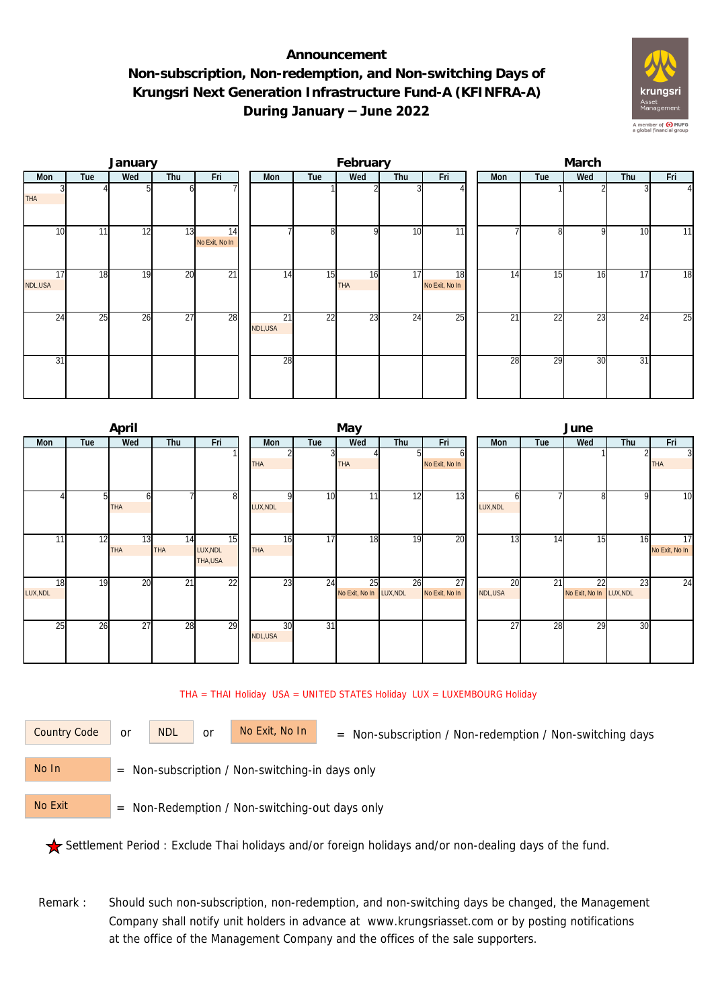## **Announcement Non-subscription, Non-redemption, and Non-switching Days of Krungsri Next Generation Infrastructure Fund-A (KFINFRA-A) During January – June 2022**



|                 |     | January |     |                      |                |     | February         |     |                      | March |     |     |                 |                |  |  |
|-----------------|-----|---------|-----|----------------------|----------------|-----|------------------|-----|----------------------|-------|-----|-----|-----------------|----------------|--|--|
| Mon             | Tue | Wed     | Thu | Fri                  | Mon            | Tue | Wed              | Thu | Fri                  | Mon   | Tue | Wed | Thu             | Fri            |  |  |
| <b>THA</b>      |     |         | h   |                      |                |     |                  |     |                      |       |     |     |                 | $\overline{4}$ |  |  |
| 10 <sup>1</sup> | 11  | 12      | 13  | 14<br>No Exit, No In |                | 8   | C                | 10  | 11                   |       | ጸ   | Q   | 10              | 11             |  |  |
| 17<br>NDL,USA   | 18  | 19      | 20  | $\overline{21}$      | 14             | 15  | 16<br><b>THA</b> | 17  | 18<br>No Exit, No In | 14    | 15  | 16  | $1\overline{7}$ | 18             |  |  |
| 24              | 25  | 26      | 27  | 28                   | 21<br>NDL, USA | 22  | 23               | 24  | 25                   | 21    | 22  | 23  | $2\overline{4}$ | 25             |  |  |
| 31              |     |         |     |                      | 28             |     |                  |     |                      | 28    | 29  | 30  | 31              |                |  |  |

|                 |     | April      |                 |                |            |     | June                    |     |                |  |          |                 |                         |     |                |
|-----------------|-----|------------|-----------------|----------------|------------|-----|-------------------------|-----|----------------|--|----------|-----------------|-------------------------|-----|----------------|
| Mon             | Tue | Wed        | Thu             | Fri            | Mon        | Tue | Wed                     | Thu | Fri            |  | Mon      | Tue             | Wed                     | Thu | Fri            |
|                 |     |            |                 |                |            | 3   |                         |     |                |  |          |                 |                         |     | $\overline{3}$ |
|                 |     |            |                 |                | <b>THA</b> |     | THA                     |     | No Exit, No In |  |          |                 |                         |     | <b>THA</b>     |
|                 |     |            |                 |                |            |     |                         |     |                |  |          |                 |                         |     |                |
|                 |     |            |                 |                |            |     |                         |     |                |  |          |                 |                         | Q   |                |
|                 |     | 61         |                 | 8 <sup>1</sup> |            | 10  | 11 <sub>1</sub>         | 12  | 13             |  |          |                 | 8                       |     | 10             |
|                 |     | <b>THA</b> |                 |                | LUX, NDL   |     |                         |     |                |  | LUX, NDL |                 |                         |     |                |
|                 |     |            |                 |                |            |     |                         |     |                |  |          |                 |                         |     |                |
| 11 <sub>1</sub> | 12  | 13         | 14              | 15             | 16         | 17  | 18                      | 19  | 20             |  | 13       | 14              | $1\overline{5}$         | 16  | 17             |
|                 |     | <b>THA</b> | <b>THA</b>      | LUX, NDL       | <b>THA</b> |     |                         |     |                |  |          |                 |                         |     | No Exit, No In |
|                 |     |            |                 | THA,USA        |            |     |                         |     |                |  |          |                 |                         |     |                |
|                 |     |            |                 |                |            |     |                         |     |                |  |          |                 |                         |     |                |
| 18              | 19  | 20         | $\overline{21}$ | 22             | 23         | 24  | 25                      | 26  | 27             |  | 20       | $\overline{21}$ | 22                      | 23  | 24             |
| LUX, NDL        |     |            |                 |                |            |     | No Exit, No In LUX, NDL |     | No Exit, No In |  | NDL,USA  |                 | No Exit, No In LUX, NDL |     |                |
|                 |     |            |                 |                |            |     |                         |     |                |  |          |                 |                         |     |                |
|                 |     |            |                 |                |            |     |                         |     |                |  |          |                 |                         |     |                |
| 25              | 26  | 27         | 28              | 29             | 30         | 31  |                         |     |                |  | 27       | 28              | 29                      | 30  |                |
|                 |     |            |                 |                | NDL, USA   |     |                         |     |                |  |          |                 |                         |     |                |
|                 |     |            |                 |                |            |     |                         |     |                |  |          |                 |                         |     |                |

THA = THAI Holiday USA = UNITED STATES Holiday LUX = LUXEMBOURG Holiday

or NDL or

Country Code or NDL or No Exit, No In = Non-subscription / Non-redemption / Non-switching days

 = Non-subscription / Non-switching-in days only No In

 = Non-Redemption / Non-switching-out days only No Exit

Settlement Period : Exclude Thai holidays and/or foreign holidays and/or non-dealing days of the fund.

Remark : Should such non-subscription, non-redemption, and non-switching days be changed, the Management Company shall notify unit holders in advance at www.krungsriasset.com or by posting notifications at the office of the Management Company and the offices of the sale supporters.